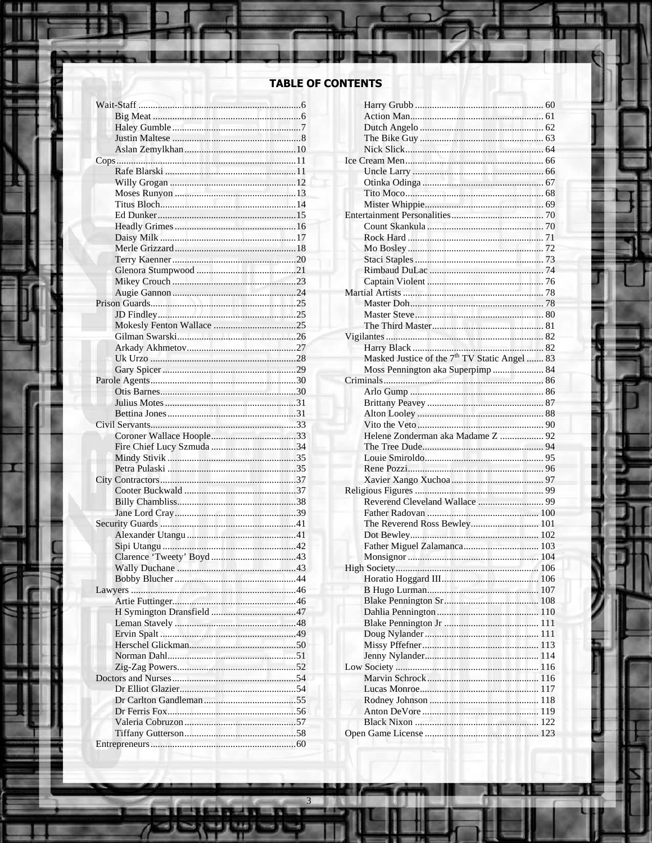### TABLE OF CONTENTS

B

ю

۰

æ

48 ¥

в

**Q.I.E.** 

œ

鳳 Ξ

 $\overline{\mathbf{r}}$ 

| Moss Pennington aka Superpimp  84 |  |
|-----------------------------------|--|
|                                   |  |
|                                   |  |
|                                   |  |
|                                   |  |
|                                   |  |
|                                   |  |
|                                   |  |
| Helene Zonderman aka Madame Z  92 |  |
|                                   |  |
|                                   |  |
|                                   |  |
|                                   |  |
|                                   |  |
|                                   |  |
|                                   |  |
| The Reverend Ross Bewley 101      |  |
|                                   |  |
|                                   |  |
|                                   |  |
|                                   |  |
|                                   |  |
|                                   |  |
|                                   |  |
|                                   |  |
|                                   |  |
|                                   |  |
|                                   |  |
|                                   |  |
|                                   |  |
|                                   |  |
|                                   |  |
|                                   |  |
|                                   |  |
|                                   |  |

11

л

ш.

31

u

m

D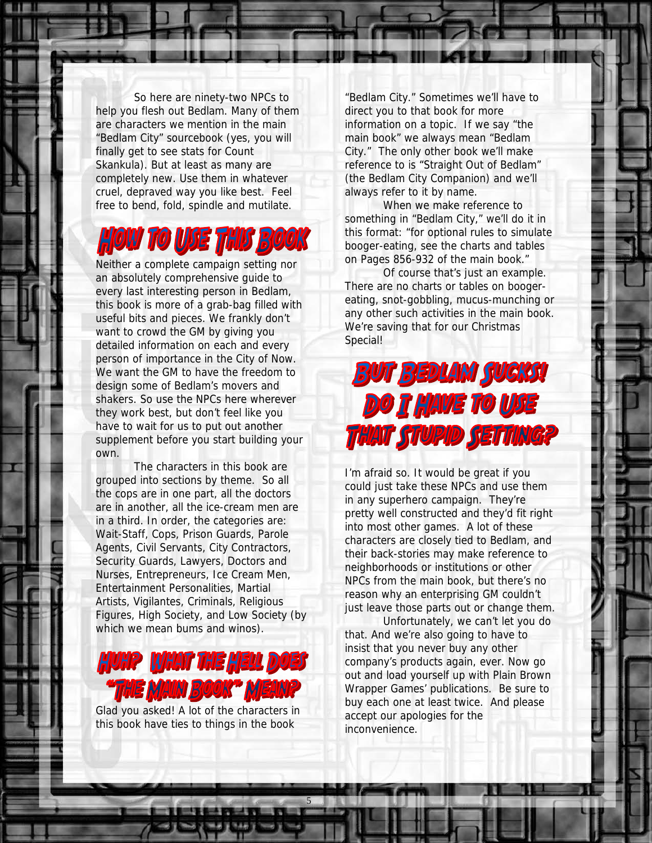So here are ninety-two NPCs to help you flesh out Bedlam. Many of them are characters we mention in the main "Bedlam City" sourcebook (yes, you will finally get to see stats for Count Skankula). But at least as many are completely new. Use them in whatever cruel, depraved way you like best. Feel free to bend, fold, spindle and mutilate.

## OW TO USE THIS BOOK

Neither a complete campaign setting nor an absolutely comprehensive guide to every last interesting person in Bedlam, this book is more of a grab-bag filled with useful bits and pieces. We frankly don't want to crowd the GM by giving you detailed information on each and every person of importance in the City of Now. We want the GM to have the freedom to design some of Bedlam's movers and shakers. So use the NPCs here wherever they work best, but don't feel like you have to wait for us to put out another supplement before you start building your own.

 The characters in this book are grouped into sections by theme. So all the cops are in one part, all the doctors are in another, all the ice-cream men are in a third. In order, the categories are: Wait-Staff, Cops, Prison Guards, Parole Agents, Civil Servants, City Contractors, Security Guards, Lawyers, Doctors and Nurses, Entrepreneurs, Ice Cream Men, Entertainment Personalities, Martial Artists, Vigilantes, Criminals, Religious Figures, High Society, and Low Society (by which we mean bums and winos).



Glad you asked! A lot of the characters in this book have ties to things in the book

5

"Bedlam City." Sometimes we'll have to direct you to that book for more information on a topic. If we say "the main book" we always mean "Bedlam City." The only other book we'll make reference to is "Straight Out of Bedlam" (the Bedlam City Companion) and we'll always refer to it by name.

When we make reference to something in "Bedlam City," we'll do it in this format: "for optional rules to simulate booger-eating, see the charts and tables on Pages 856-932 of the main book."

 Of course that's just an example. There are no charts or tables on boogereating, snot-gobbling, mucus-munching or any other such activities in the main book. We're saving that for our Christmas Special!



I'm afraid so. It would be great if you could just take these NPCs and use them in any superhero campaign. They're pretty well constructed and they'd fit right into most other games. A lot of these characters are closely tied to Bedlam, and their back-stories may make reference to neighborhoods or institutions or other NPCs from the main book, but there's no reason why an enterprising GM couldn't just leave those parts out or change them.

Unfortunately, we can't let you do that. And we're also going to have to insist that you never buy any other company's products again, ever. Now go out and load yourself up with Plain Brown Wrapper Games' publications. Be sure to buy each one at least twice. And please accept our apologies for the inconvenience.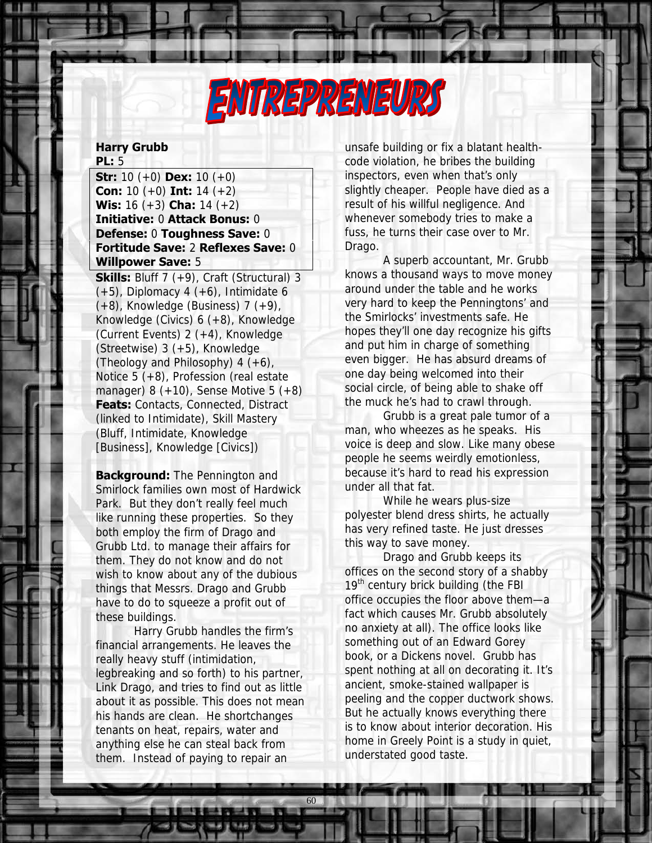

### **Harry Grubb PL:** 5

**Str:** 10 (+0) **Dex:** 10 (+0) **Con:** 10 (+0) **Int:** 14 (+2) **Wis:** 16 (+3) **Cha:** 14 (+2) **Initiative:** 0 **Attack Bonus:** 0 **Defense:** 0 **Toughness Save:** 0 **Fortitude Save:** 2 **Reflexes Save:** 0 **Willpower Save:** 5

**Skills:** Bluff 7 (+9), Craft (Structural) 3  $(+5)$ , Diplomacy 4  $(+6)$ , Intimidate 6  $(+8)$ , Knowledge (Business) 7  $(+9)$ , Knowledge (Civics) 6 (+8), Knowledge (Current Events) 2 (+4), Knowledge (Streetwise) 3 (+5), Knowledge (Theology and Philosophy)  $4 (+6)$ , Notice 5 (+8), Profession (real estate manager) 8  $(+10)$ , Sense Motive 5  $(+8)$ **Feats: Contacts, Connected, Distract** (linked to Intimidate), Skill Mastery (Bluff, Intimidate, Knowledge [Business], Knowledge [Civics])

**Background:** The Pennington and Smirlock families own most of Hardwick Park. But they don't really feel much like running these properties. So they both employ the firm of Drago and Grubb Ltd. to manage their affairs for them. They do not know and do not wish to know about any of the dubious things that Messrs. Drago and Grubb have to do to squeeze a profit out of these buildings.

 Harry Grubb handles the firm's financial arrangements. He leaves the really heavy stuff (intimidation, legbreaking and so forth) to his partner, Link Drago, and tries to find out as little about it as possible. This does not mean his hands are clean. He shortchanges tenants on heat, repairs, water and anything else he can steal back from them. Instead of paying to repair an

60

unsafe building or fix a blatant healthcode violation, he bribes the building inspectors, even when that's only slightly cheaper. People have died as a result of his willful negligence. And whenever somebody tries to make a fuss, he turns their case over to Mr. Drago.

 A superb accountant, Mr. Grubb knows a thousand ways to move money around under the table and he works very hard to keep the Penningtons' and the Smirlocks' investments safe. He hopes they'll one day recognize his gifts and put him in charge of something even bigger. He has absurd dreams of one day being welcomed into their social circle, of being able to shake off the muck he's had to crawl through.

Grubb is a great pale tumor of a man, who wheezes as he speaks. His voice is deep and slow. Like many obese people he seems weirdly emotionless, because it's hard to read his expression under all that fat.

 While he wears plus-size polyester blend dress shirts, he actually has very refined taste. He just dresses this way to save money.

Drago and Grubb keeps its offices on the second story of a shabby  $19<sup>th</sup>$  century brick building (the FBI office occupies the floor above them—a fact which causes Mr. Grubb absolutely no anxiety at all). The office looks like something out of an Edward Gorey book, or a Dickens novel. Grubb has spent nothing at all on decorating it. It's ancient, smoke-stained wallpaper is peeling and the copper ductwork shows. But he actually knows everything there is to know about interior decoration. His home in Greely Point is a study in quiet, understated good taste.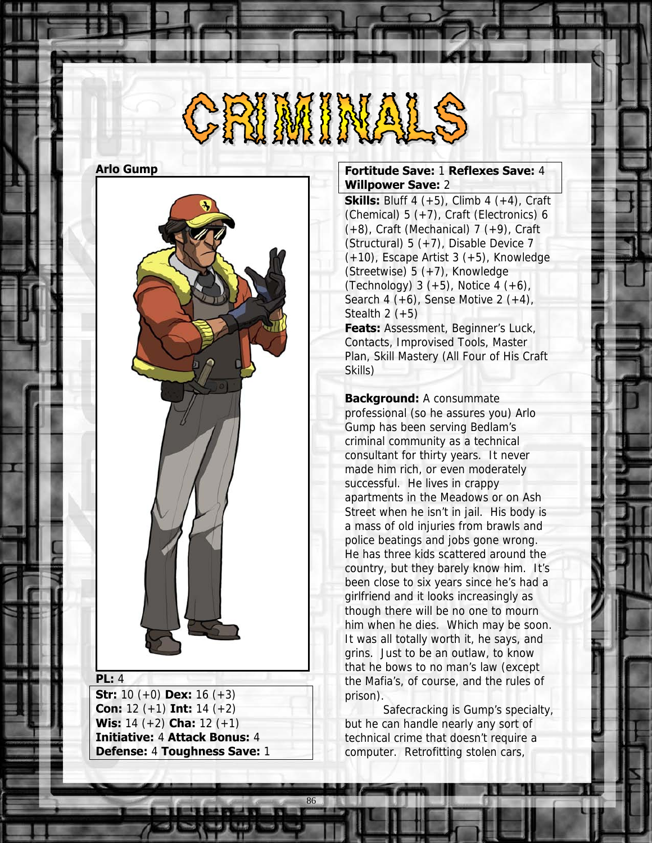# 

### **Arlo Gump**



#### **PL:** 4

**Str:** 10 (+0) **Dex:** 16 (+3) **Con:** 12 (+1) **Int:** 14 (+2) **Wis:** 14 (+2) **Cha:** 12 (+1) **Initiative:** 4 **Attack Bonus:** 4 **Defense:** 4 **Toughness Save:** 1

86

### **Fortitude Save:** 1 **Reflexes Save:** 4 **Willpower Save:** 2

**Skills:** Bluff 4  $(+5)$ , Climb 4  $(+4)$ , Craft (Chemical) 5 (+7), Craft (Electronics) 6  $(+8)$ , Craft (Mechanical) 7  $(+9)$ , Craft (Structural) 5 (+7), Disable Device 7 (+10), Escape Artist 3 (+5), Knowledge (Streetwise) 5 (+7), Knowledge (Technology)  $3 (+5)$ , Notice  $4 (+6)$ , Search 4  $(+6)$ , Sense Motive 2  $(+4)$ , Stealth  $2 (+5)$ **Feats: Assessment, Beginner's Luck,** Contacts, Improvised Tools, Master

Plan, Skill Mastery (All Four of His Craft Skills)

**Background:** A consummate professional (so he assures you) Arlo Gump has been serving Bedlam's criminal community as a technical consultant for thirty years. It never made him rich, or even moderately successful. He lives in crappy apartments in the Meadows or on Ash Street when he isn't in jail. His body is a mass of old injuries from brawls and police beatings and jobs gone wrong. He has three kids scattered around the country, but they barely know him. It's been close to six years since he's had a girlfriend and it looks increasingly as though there will be no one to mourn him when he dies. Which may be soon. It was all totally worth it, he says, and grins. Just to be an outlaw, to know that he bows to no man's law (except the Mafia's, of course, and the rules of prison).

 Safecracking is Gump's specialty, but he can handle nearly any sort of technical crime that doesn't require a computer. Retrofitting stolen cars,